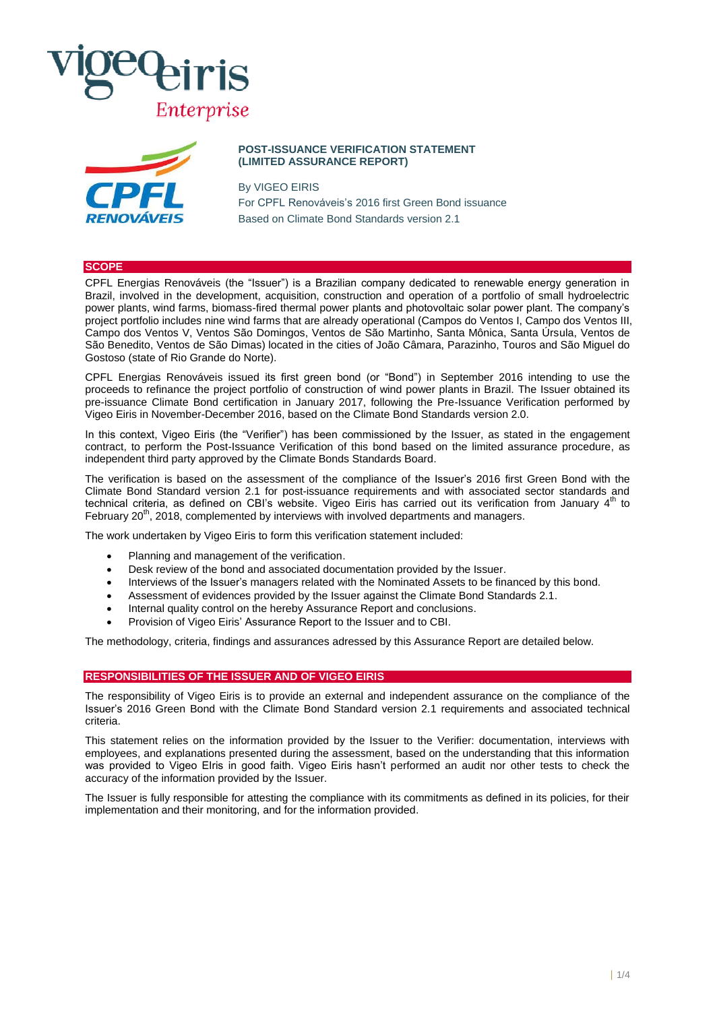



## **POST-ISSUANCE VERIFICATION STATEMENT (LIMITED ASSURANCE REPORT)**

By VIGEO EIRIS

For CPFL Renováveis's 2016 first Green Bond issuance Based on Climate Bond Standards version 2.1

### **SCOPE**

CPFL Energias Renováveis (the "Issuer") is a Brazilian company dedicated to renewable energy generation in Brazil, involved in the development, acquisition, construction and operation of a portfolio of small hydroelectric power plants, wind farms, biomass-fired thermal power plants and photovoltaic solar power plant. The company's project portfolio includes nine wind farms that are already operational (Campos do Ventos I, Campo dos Ventos III, Campo dos Ventos V, Ventos São Domingos, Ventos de São Martinho, Santa Mônica, Santa Úrsula, Ventos de São Benedito, Ventos de São Dimas) located in the cities of João Câmara, Parazinho, Touros and São Miguel do Gostoso (state of Rio Grande do Norte).

CPFL Energias Renováveis issued its first green bond (or "Bond") in September 2016 intending to use the proceeds to refinance the project portfolio of construction of wind power plants in Brazil. The Issuer obtained its pre-issuance Climate Bond certification in January 2017, following the Pre-Issuance Verification performed by Vigeo Eiris in November-December 2016, based on the Climate Bond Standards version 2.0.

In this context, Vigeo Eiris (the "Verifier") has been commissioned by the Issuer, as stated in the engagement contract, to perform the Post-Issuance Verification of this bond based on the limited assurance procedure, as independent third party approved by the Climate Bonds Standards Board.

The verification is based on the assessment of the compliance of the Issuer's 2016 first Green Bond with the Climate Bond Standard version 2.1 for post-issuance requirements and with associated sector standards and technical criteria, as defined on CBI's website. Vigeo Eiris has carried out its verification from January 4<sup>th</sup> to February  $20<sup>th</sup>$ , 2018, complemented by interviews with involved departments and managers.

The work undertaken by Vigeo Eiris to form this verification statement included:

- Planning and management of the verification.
- Desk review of the bond and associated documentation provided by the Issuer.
- Interviews of the Issuer's managers related with the Nominated Assets to be financed by this bond.
- Assessment of evidences provided by the Issuer against the Climate Bond Standards 2.1.
- Internal quality control on the hereby Assurance Report and conclusions.
- Provision of Vigeo Eiris' Assurance Report to the Issuer and to CBI.

The methodology, criteria, findings and assurances adressed by this Assurance Report are detailed below.

### **RESPONSIBILITIES OF THE ISSUER AND OF VIGEO EIRIS**

The responsibility of Vigeo Eiris is to provide an external and independent assurance on the compliance of the Issuer's 2016 Green Bond with the Climate Bond Standard version 2.1 requirements and associated technical criteria.

This statement relies on the information provided by the Issuer to the Verifier: documentation, interviews with employees, and explanations presented during the assessment, based on the understanding that this information was provided to Vigeo EIris in good faith. Vigeo Eiris hasn't performed an audit nor other tests to check the accuracy of the information provided by the Issuer.

The Issuer is fully responsible for attesting the compliance with its commitments as defined in its policies, for their implementation and their monitoring, and for the information provided.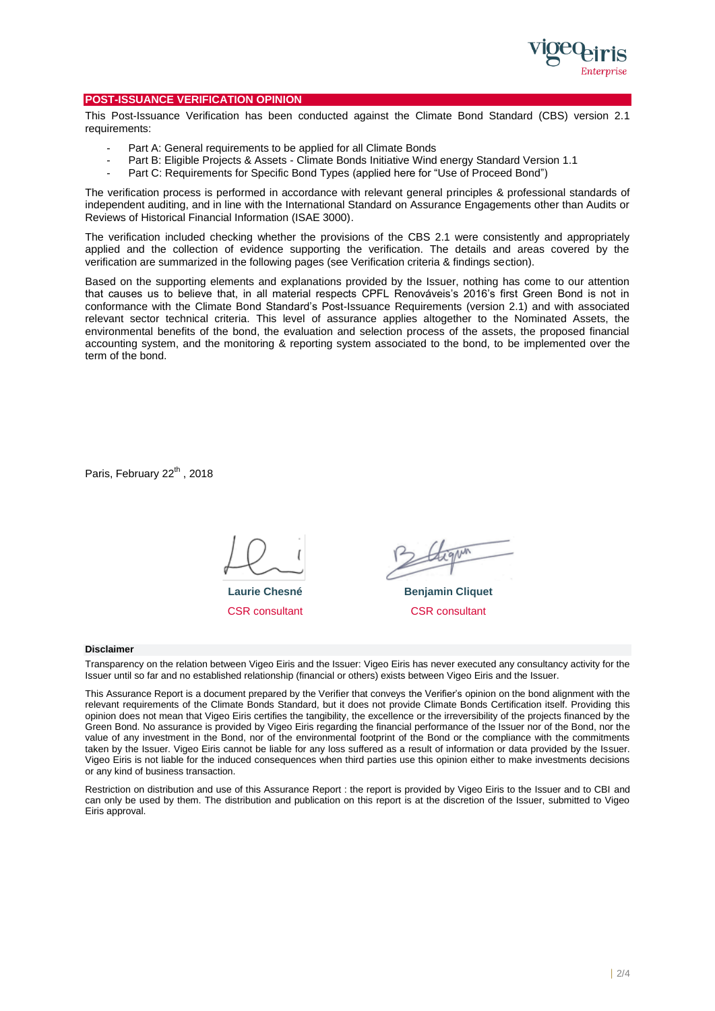

#### **POST-ISSUANCE VERIFICATION OPINION**

This Post-Issuance Verification has been conducted against the Climate Bond Standard (CBS) version 2.1 requirements:

- Part A: General requirements to be applied for all Climate Bonds
- Part B: Eligible Projects & Assets Climate Bonds Initiative Wind energy Standard Version 1.1
- Part C: Requirements for Specific Bond Types (applied here for "Use of Proceed Bond")

The verification process is performed in accordance with relevant general principles & professional standards of independent auditing, and in line with the International Standard on Assurance Engagements other than Audits or Reviews of Historical Financial Information (ISAE 3000).

The verification included checking whether the provisions of the CBS 2.1 were consistently and appropriately applied and the collection of evidence supporting the verification. The details and areas covered by the verification are summarized in the following pages (see Verification criteria & findings section).

Based on the supporting elements and explanations provided by the Issuer, nothing has come to our attention that causes us to believe that, in all material respects CPFL Renováveis's 2016's first Green Bond is not in conformance with the Climate Bond Standard's Post-Issuance Requirements (version 2.1) and with associated relevant sector technical criteria. This level of assurance applies altogether to the Nominated Assets, the environmental benefits of the bond, the evaluation and selection process of the assets, the proposed financial accounting system, and the monitoring & reporting system associated to the bond, to be implemented over the term of the bond.

Paris, February 22<sup>th</sup> , 2018



**Benjamin Cliquet**

CSR consultant

#### **Disclaimer**

Transparency on the relation between Vigeo Eiris and the Issuer: Vigeo Eiris has never executed any consultancy activity for the Issuer until so far and no established relationship (financial or others) exists between Vigeo Eiris and the Issuer.

This Assurance Report is a document prepared by the Verifier that conveys the Verifier's opinion on the bond alignment with the relevant requirements of the Climate Bonds Standard, but it does not provide Climate Bonds Certification itself. Providing this opinion does not mean that Vigeo Eiris certifies the tangibility, the excellence or the irreversibility of the projects financed by the Green Bond. No assurance is provided by Vigeo Eiris regarding the financial performance of the Issuer nor of the Bond, nor the value of any investment in the Bond, nor of the environmental footprint of the Bond or the compliance with the commitments taken by the Issuer. Vigeo Eiris cannot be liable for any loss suffered as a result of information or data provided by the Issuer. Vigeo Eiris is not liable for the induced consequences when third parties use this opinion either to make investments decisions or any kind of business transaction.

Restriction on distribution and use of this Assurance Report : the report is provided by Vigeo Eiris to the Issuer and to CBI and can only be used by them. The distribution and publication on this report is at the discretion of the Issuer, submitted to Vigeo Eiris approval.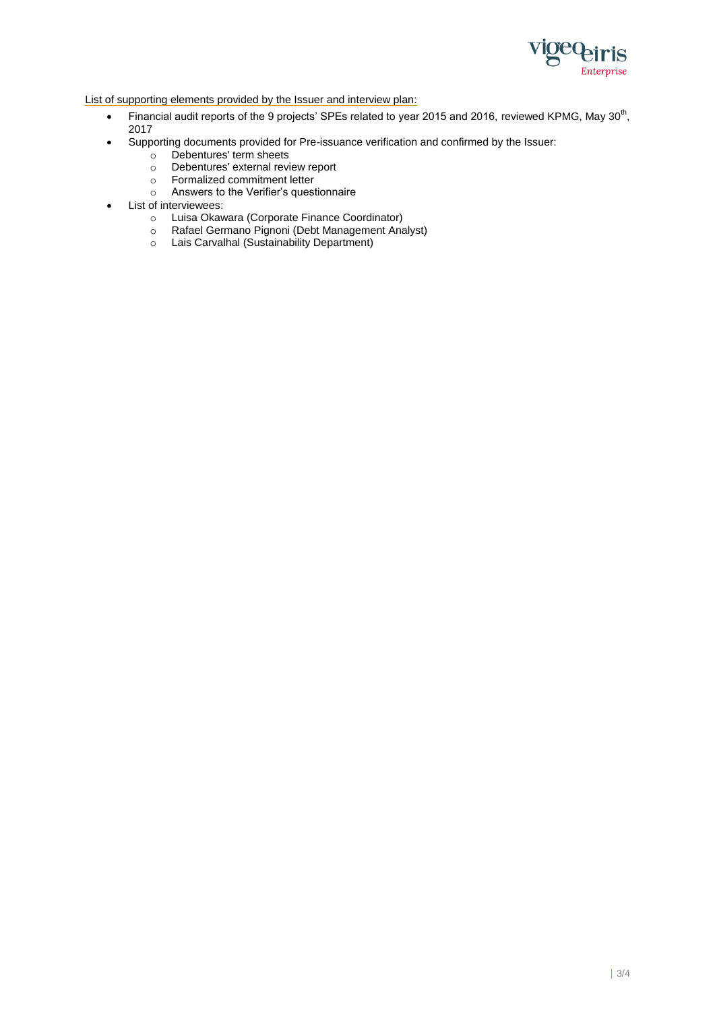

# List of supporting elements provided by the Issuer and interview plan:

- Financial audit reports of the 9 projects' SPEs related to year 2015 and 2016, reviewed KPMG, May  $30<sup>th</sup>$ , 2017
- Supporting documents provided for Pre-issuance verification and confirmed by the Issuer:
	- o Debentures' term sheets
	- o Debentures' external review report
	- o Formalized commitment letter
	- o Answers to the Verifier's questionnaire
	- List of interviewees:
		- o Luisa Okawara (Corporate Finance Coordinator)
		- o Rafael Germano Pignoni (Debt Management Analyst)
			- o Lais Carvalhal (Sustainability Department)